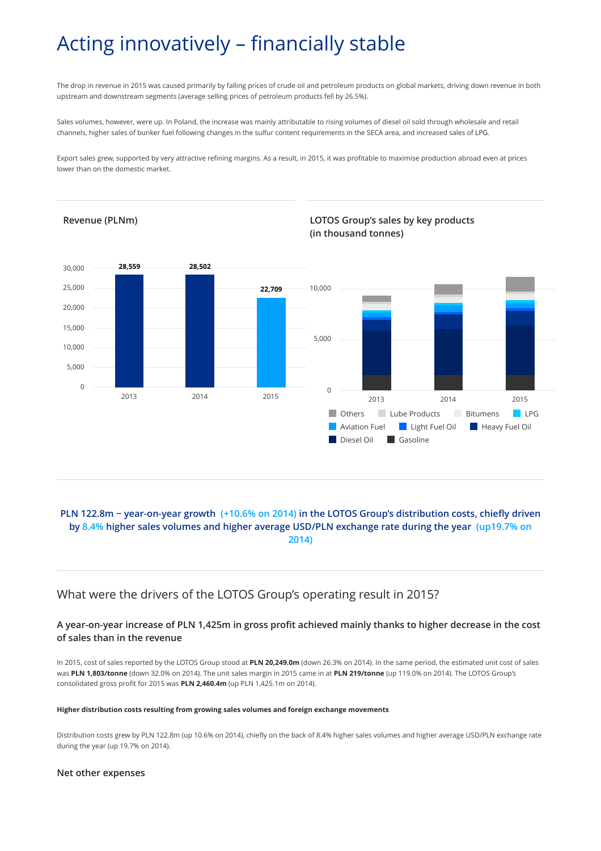# Acting innovatively – financially stable

The drop in revenue in 2015 was caused primarily by falling prices of crude oil and petroleum products on global markets, driving down revenue in both upstream and downstream segments (average selling prices of petroleum products fell by 26.5%).

Sales volumes, however, were up. In Poland, the increase was mainly attributable to rising volumes of diesel oil sold through wholesale and retail channels, higher sales of bunker fuel following changes in the sulfur content requirements in the SECA area, and increased sales of LPG.

Export sales grew, supported by very attractive refining margins. As a result, in 2015, it was profitable to maximise production abroad even at prices lower than on the domestic market.



# **PLN 122.8m − year-on-year growth (+10.6% on 2014) in the LOTOS Group's distribution costs, chiefly driven by 8.4% higher sales volumes and higher average USD/PLN exchange rate during the year (up19.7% on 2014)**

# What were the drivers of the LOTOS Group's operating result in 2015?

# **A year-on-year increase of PLN 1,425m in gross profit achieved mainly thanks to higher decrease in the cost of sales than in the revenue**

In 2015, cost of sales reported by the LOTOS Group stood at **PLN 20,249.0m** (down 26.3% on 2014). In the same period, the estimated unit cost of sales was **PLN 1,803/tonne** (down 32.0% on 2014). The unit sales margin in 2015 came in at **PLN 219/tonne** (up 119.0% on 2014). The LOTOS Group's consolidated gross profit for 2015 was **PLN 2,460.4m** (up PLN 1,425.1m on 2014).

### **Higher distribution costs resulting from growing sales volumes and foreign exchange movements**

Distribution costs grew by PLN 122.8m (up 10.6% on 2014), chiefly on the back of 8.4% higher sales volumes and higher average USD/PLN exchange rate during the year (up 19.7% on 2014).

### **Net other expenses**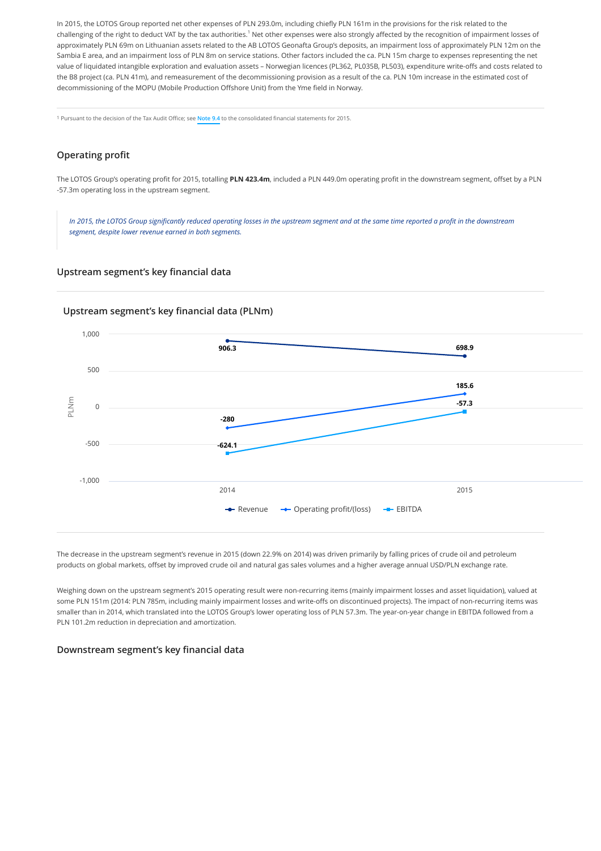In 2015, the LOTOS Group reported net other expenses of PLN 293.0m, including chiefly PLN 161m in the provisions for the risk related to the challenging of the right to deduct VAT by the tax authorities.<sup>1</sup> Net other expenses were also strongly affected by the recognition of impairment losses of approximately PLN 69m on Lithuanian assets related to the AB LOTOS Geonafta Group's deposits, an impairment loss of approximately PLN 12m on the Sambia E area, and an impairment loss of PLN 8m on service stations. Other factors included the ca. PLN 15m charge to expenses representing the net value of liquidated intangible exploration and evaluation assets – Norwegian licences (PL362, PL035B, PL503), expenditure write-offs and costs related to the B8 project (ca. PLN 41m), and remeasurement of the decommissioning provision as a result of the ca. PLN 10m increase in the estimated cost of decommissioning of the MOPU (Mobile Production Offshore Unit) from the Yme field in Norway.

1 Pursuant to the decision of the Tax Audit Office; see **[Note 9.4](http://raportroczny.lotos.pl/en/financial-information/consolidated-financial-statements-for-2015/notes-to-the-financial-statements/9.-income-and-expenses#note-9-4)** to the consolidated financial statements for 2015.

# **Operating profit**

The LOTOS Group's operating profit for 2015, totalling **PLN 423.4m**, included a PLN 449.0m operating profit in the downstream segment, offset by a PLN -57.3m operating loss in the upstream segment.

*In 2015, the LOTOS Group significantly reduced operating losses in the upstream segment and at the same time reported a profit in the downstream segment, despite lower revenue earned in both segments.*

### **Upstream segment's key financial data**

## **Upstream segment's key financial data (PLNm)**



The decrease in the upstream segment's revenue in 2015 (down 22.9% on 2014) was driven primarily by falling prices of crude oil and petroleum **-280** products on global markets, offset by improved crude oil and natural gas sales volumes and a higher average annual USD/PLN exchange rate.

Weighing down on the upstream segment's 2015 operating result were non-recurring items (mainly impairment losses and asset liquidation), valued at some PLN 151m (2014: PLN 785m, including mainly impairment losses and write-offs on discontinued projects). The impact of non-recurring items was smaller than in 2014, which translated into the LOTOS Group's lower operating loss of PLN 57.3m. The year-on-year change in EBITDA followed from a PLN 101.2m reduction in depreciation and amortization.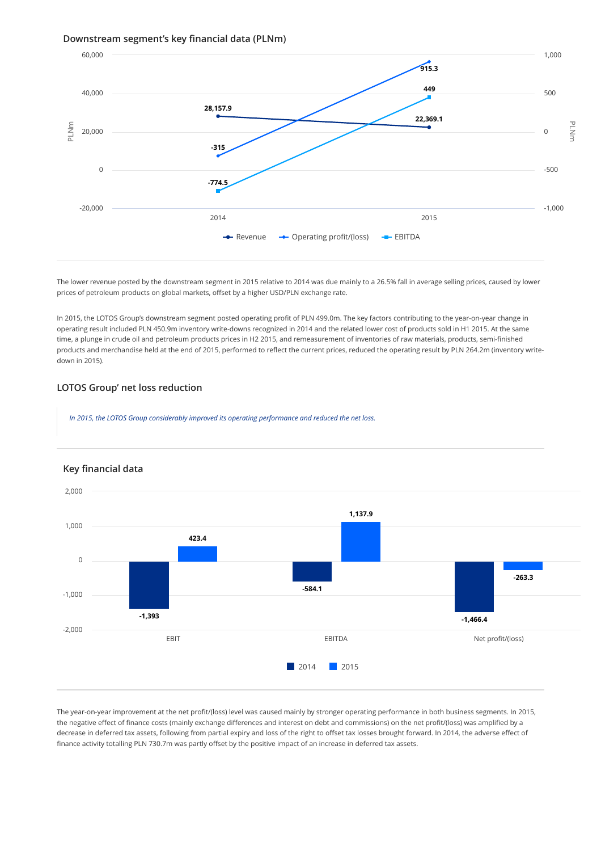### **Downstream segment's key financial data (PLNm)**



The lower revenue posted by the downstream segment in 2015 relative to 2014 was due mainly to a 26.5% fall in average selling prices, caused by lower **-315** prices of petroleum products on global markets, offset by a higher USD/PLN exchange rate.

In 2015, the LOTOS Group's downstream segment posted operating profit of PLN 499.0m. The key factors contributing to the year-on-year change in **-774.5** operating result included PLN 450.9m inventory write-downs recognized in 2014 and the related lower cost of products sold in H1 2015. At the same time, a plunge in crude oil and petroleum products prices in H2 2015, and remeasurement of inventories of raw materials, products, semi-finished products and merchandise held at the end of 2015, performed to reflect the current prices, reduced the operating result by PLN 264.2m (inventory writedown in 2015).

### **LOTOS Group' net loss reduction**

*In 2015, the LOTOS Group considerably improved its operating performance and reduced the net loss.*



# **Key financial data**

The year-on-year improvement at the net profit/(loss) level was caused mainly by stronger operating performance in both business segments. In 2015, **-263.3** the negative effect of finance costs (mainly exchange differences and interest on debt and commissions) on the net profit/(loss) was amplified by a **-584.1** decrease in deferred tax assets, following from partial expiry and loss of the right to offset tax losses brought forward. In 2014, the adverse effect of finance activity totalling PLN 730.7m was partly offset by the positive impact of an increase in deferred tax assets.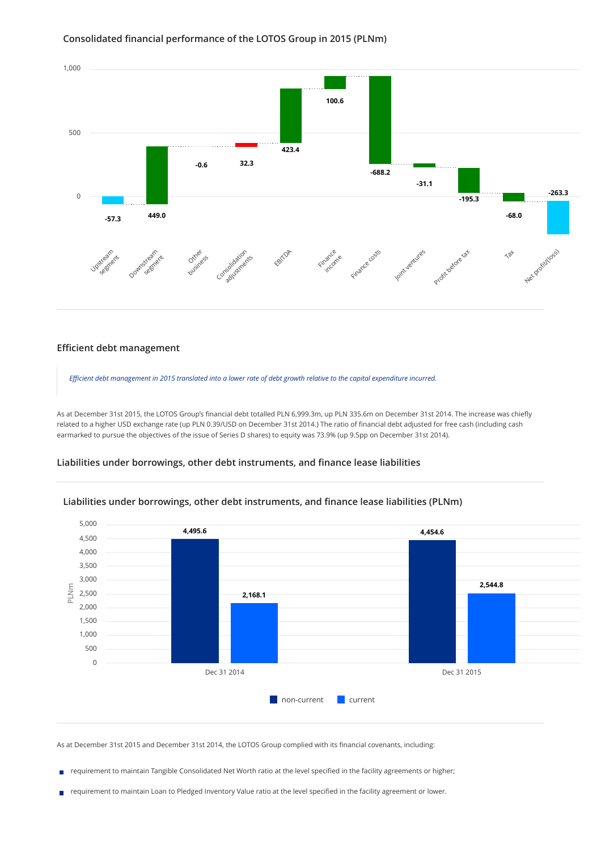

### **Consolidated financial performance of the LOTOS Group in 2015 (PLNm)**

### **Efficient debt management**

*Efficient debt management in 2015 translated into a lower rate of debt growth relative to the capital expenditure incurred.*

As at December 31st 2015, the LOTOS Group's financial debt totalled PLN 6,999.3m, up PLN 335.6m on December 31st 2014. The increase was chiefly related to a higher USD exchange rate (up PLN 0.39/USD on December 31st 2014.) The ratio of financial debt adjusted for free cash (including cash earmarked to pursue the objectives of the issue of Series D shares) to equity was 73.9% (up 9.5pp on December 31st 2014).

## **Liabilities under borrowings, other debt instruments, and finance lease liabilities**



### **Liabilities under borrowings, other debt instruments, and finance lease liabilities (PLNm)**

As at December 31st 2015 and December 31st 2014, the LOTOS Group complied with its financial covenants, including:

requirement to maintain Tangible Consolidated Net Worth ratio at the level specified in the facility agreements or higher; ×

requirement to maintain Loan to Pledged Inventory Value ratio at the level specified in the facility agreement or lower.